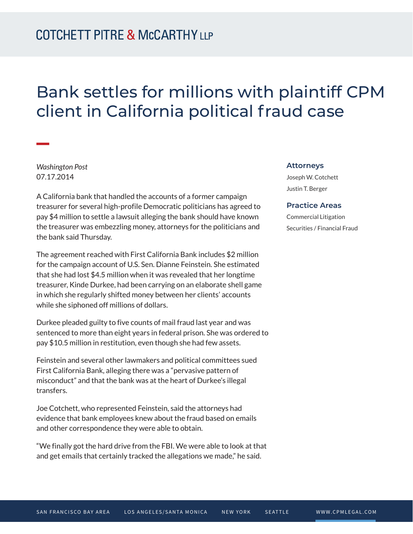# Bank settles for millions with plaintiff CPM client in California political fraud case

*Washington Post* 07.17.2014

A California bank that handled the accounts of a former campaign treasurer for several high-profile Democratic politicians has agreed to pay \$4 million to settle a lawsuit alleging the bank should have known the treasurer was embezzling money, attorneys for the politicians and the bank said Thursday.

The agreement reached with First California Bank includes \$2 million for the campaign account of U.S. Sen. Dianne Feinstein. She estimated that she had lost \$4.5 million when it was revealed that her longtime treasurer, Kinde Durkee, had been carrying on an elaborate shell game in which she regularly shifted money between her clients' accounts while she siphoned off millions of dollars.

Durkee pleaded guilty to five counts of mail fraud last year and was sentenced to more than eight years in federal prison. She was ordered to pay \$10.5 million in restitution, even though she had few assets.

Feinstein and several other lawmakers and political committees sued First California Bank, alleging there was a "pervasive pattern of misconduct" and that the bank was at the heart of Durkee's illegal transfers.

Joe Cotchett, who represented Feinstein, said the attorneys had evidence that bank employees knew about the fraud based on emails and other correspondence they were able to obtain.

"We finally got the hard drive from the FBI. We were able to look at that and get emails that certainly tracked the allegations we made," he said.

#### **Attorneys**

Joseph W. Cotchett Justin T. Berger

#### **Practice Areas**

Commercial Litigation Securities / Financial Fraud